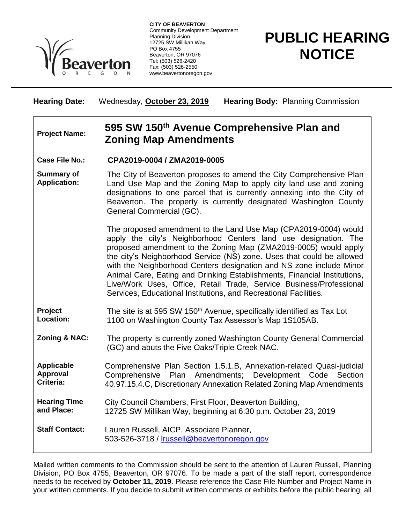

**CITY OF BEAVERTON** Community Development Department Planning Division 12725 SW Millikan Way PO Box 4755 Beaverton, OR 97076 Tel: (503) 526-2420 Fax: (503) 526-2550 www.beavertonoregon.gov

## **PUBLIC HEARING NOTICE**

**Hearing Date:** Wednesday, **October 23, 2019 Hearing Body:** Planning Commission

## **Project Name: 595 SW 150th Avenue Comprehensive Plan and Zoning Map Amendments**

**Case File No.: CPA2019-0004 / ZMA2019-0005**

**Summary of Application:** The City of Beaverton proposes to amend the City Comprehensive Plan Land Use Map and the Zoning Map to apply city land use and zoning designations to one parcel that is currently annexing into the City of Beaverton. The property is currently designated Washington County General Commercial (GC).

> The proposed amendment to the Land Use Map (CPA2019-0004) would apply the city's Neighborhood Centers land use designation. The proposed amendment to the Zoning Map (ZMA2019-0005) would apply the city's Neighborhood Service (NS) zone. Uses that could be allowed with the Neighborhood Centers designation and NS zone include Minor Animal Care, Eating and Drinking Establishments, Financial Institutions, Live/Work Uses, Office, Retail Trade, Service Business/Professional Services, Educational Institutions, and Recreational Facilities.

**Project Location:** The site is at 595 SW 150<sup>th</sup> Avenue, specifically identified as Tax Lot 1100 on Washington County Tax Assessor's Map 1S105AB.

**Zoning & NAC:** The property is currently zoned Washington County General Commercial (GC) and abuts the Five Oaks/Triple Creek NAC.

**Applicable Approval Criteria:** Comprehensive Plan Section 1.5.1.B, Annexation-related Quasi-judicial Comprehensive Plan Amendments; Development Code Section 40.97.15.4.C, Discretionary Annexation Related Zoning Map Amendments

**Hearing Time and Place:** City Council Chambers, First Floor, Beaverton Building, 12725 SW Millikan Way, beginning at 6:30 p.m. October 23, 2019

**Staff Contact:** Lauren Russell, AICP, Associate Planner, 503-526-3718 / [lrussell@beavertonoregon.gov](mailto:lrussell@beavertonoregon.gov)

Mailed written comments to the Commission should be sent to the attention of Lauren Russell, Planning Division, PO Box 4755, Beaverton, OR 97076. To be made a part of the staff report, correspondence needs to be received by **October 11, 2019**. Please reference the Case File Number and Project Name in your written comments. If you decide to submit written comments or exhibits before the public hearing, all